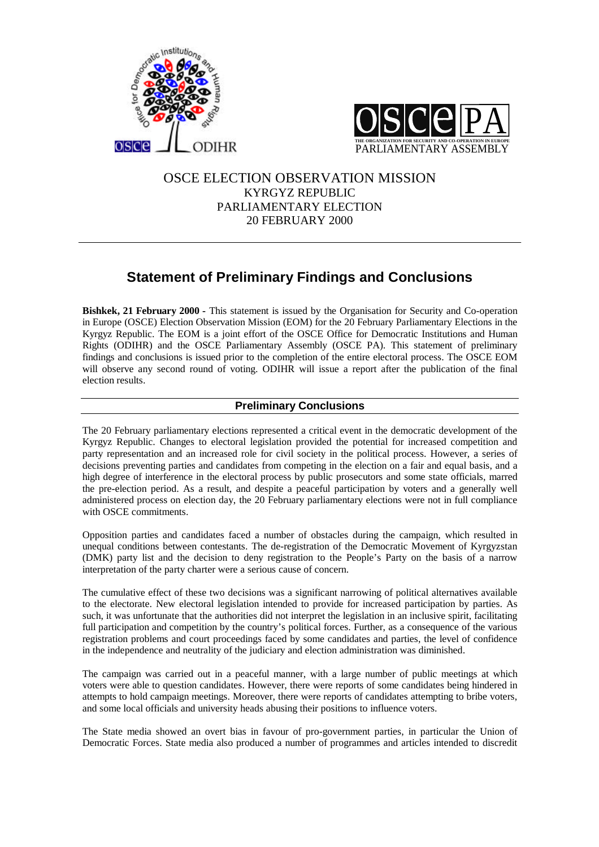



# OSCE ELECTION OBSERVATION MISSION KYRGYZ REPUBLIC PARLIAMENTARY ELECTION 20 FEBRUARY 2000

# **Statement of Preliminary Findings and Conclusions**

**Bishkek, 21 February 2000 - This statement is issued by the Organisation for Security and Co-operation** in Europe (OSCE) Election Observation Mission (EOM) for the 20 February Parliamentary Elections in the Kyrgyz Republic. The EOM is a joint effort of the OSCE Office for Democratic Institutions and Human Rights (ODIHR) and the OSCE Parliamentary Assembly (OSCE PA). This statement of preliminary findings and conclusions is issued prior to the completion of the entire electoral process. The OSCE EOM will observe any second round of voting. ODIHR will issue a report after the publication of the final election results.

# **Preliminary Conclusions**

The 20 February parliamentary elections represented a critical event in the democratic development of the Kyrgyz Republic. Changes to electoral legislation provided the potential for increased competition and party representation and an increased role for civil society in the political process. However, a series of decisions preventing parties and candidates from competing in the election on a fair and equal basis, and a high degree of interference in the electoral process by public prosecutors and some state officials, marred the pre-election period. As a result, and despite a peaceful participation by voters and a generally well administered process on election day, the 20 February parliamentary elections were not in full compliance with OSCE commitments.

Opposition parties and candidates faced a number of obstacles during the campaign, which resulted in unequal conditions between contestants. The de-registration of the Democratic Movement of Kyrgyzstan (DMK) party list and the decision to deny registration to the People's Party on the basis of a narrow interpretation of the party charter were a serious cause of concern.

The cumulative effect of these two decisions was a significant narrowing of political alternatives available to the electorate. New electoral legislation intended to provide for increased participation by parties. As such, it was unfortunate that the authorities did not interpret the legislation in an inclusive spirit, facilitating full participation and competition by the country's political forces. Further, as a consequence of the various registration problems and court proceedings faced by some candidates and parties, the level of confidence in the independence and neutrality of the judiciary and election administration was diminished.

The campaign was carried out in a peaceful manner, with a large number of public meetings at which voters were able to question candidates. However, there were reports of some candidates being hindered in attempts to hold campaign meetings. Moreover, there were reports of candidates attempting to bribe voters, and some local officials and university heads abusing their positions to influence voters.

The State media showed an overt bias in favour of pro-government parties, in particular the Union of Democratic Forces. State media also produced a number of programmes and articles intended to discredit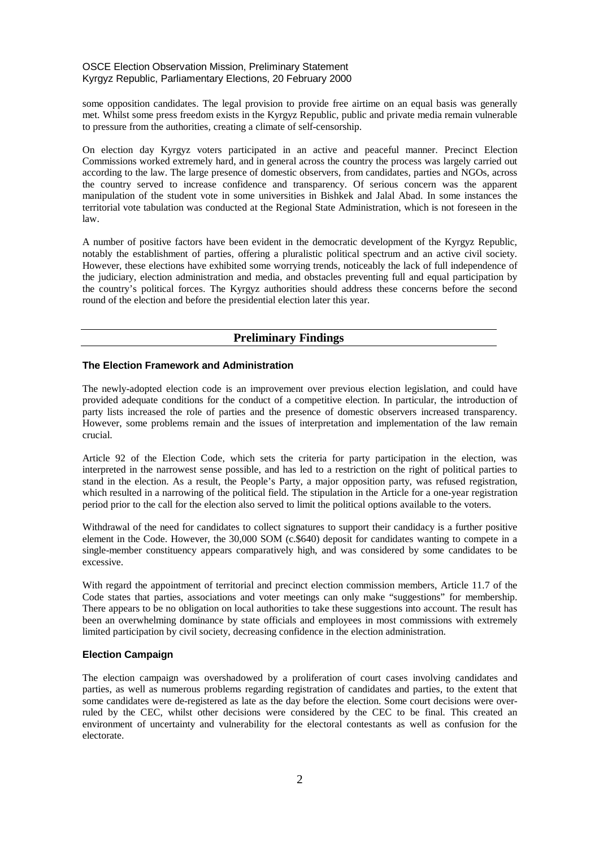#### OSCE Election Observation Mission, Preliminary Statement Kyrgyz Republic, Parliamentary Elections, 20 February 2000

some opposition candidates. The legal provision to provide free airtime on an equal basis was generally met. Whilst some press freedom exists in the Kyrgyz Republic, public and private media remain vulnerable to pressure from the authorities, creating a climate of self-censorship.

On election day Kyrgyz voters participated in an active and peaceful manner. Precinct Election Commissions worked extremely hard, and in general across the country the process was largely carried out according to the law. The large presence of domestic observers, from candidates, parties and NGOs, across the country served to increase confidence and transparency. Of serious concern was the apparent manipulation of the student vote in some universities in Bishkek and Jalal Abad. In some instances the territorial vote tabulation was conducted at the Regional State Administration, which is not foreseen in the law.

A number of positive factors have been evident in the democratic development of the Kyrgyz Republic, notably the establishment of parties, offering a pluralistic political spectrum and an active civil society. However, these elections have exhibited some worrying trends, noticeably the lack of full independence of the judiciary, election administration and media, and obstacles preventing full and equal participation by the country's political forces. The Kyrgyz authorities should address these concerns before the second round of the election and before the presidential election later this year.

## **Preliminary Findings**

#### **The Election Framework and Administration**

The newly-adopted election code is an improvement over previous election legislation, and could have provided adequate conditions for the conduct of a competitive election. In particular, the introduction of party lists increased the role of parties and the presence of domestic observers increased transparency. However, some problems remain and the issues of interpretation and implementation of the law remain crucial.

Article 92 of the Election Code, which sets the criteria for party participation in the election, was interpreted in the narrowest sense possible, and has led to a restriction on the right of political parties to stand in the election. As a result, the People's Party, a major opposition party, was refused registration, which resulted in a narrowing of the political field. The stipulation in the Article for a one-year registration period prior to the call for the election also served to limit the political options available to the voters.

Withdrawal of the need for candidates to collect signatures to support their candidacy is a further positive element in the Code. However, the 30,000 SOM (c.\$640) deposit for candidates wanting to compete in a single-member constituency appears comparatively high, and was considered by some candidates to be excessive.

With regard the appointment of territorial and precinct election commission members, Article 11.7 of the Code states that parties, associations and voter meetings can only make "suggestions" for membership. There appears to be no obligation on local authorities to take these suggestions into account. The result has been an overwhelming dominance by state officials and employees in most commissions with extremely limited participation by civil society, decreasing confidence in the election administration.

#### **Election Campaign**

The election campaign was overshadowed by a proliferation of court cases involving candidates and parties, as well as numerous problems regarding registration of candidates and parties, to the extent that some candidates were de-registered as late as the day before the election. Some court decisions were overruled by the CEC, whilst other decisions were considered by the CEC to be final. This created an environment of uncertainty and vulnerability for the electoral contestants as well as confusion for the electorate.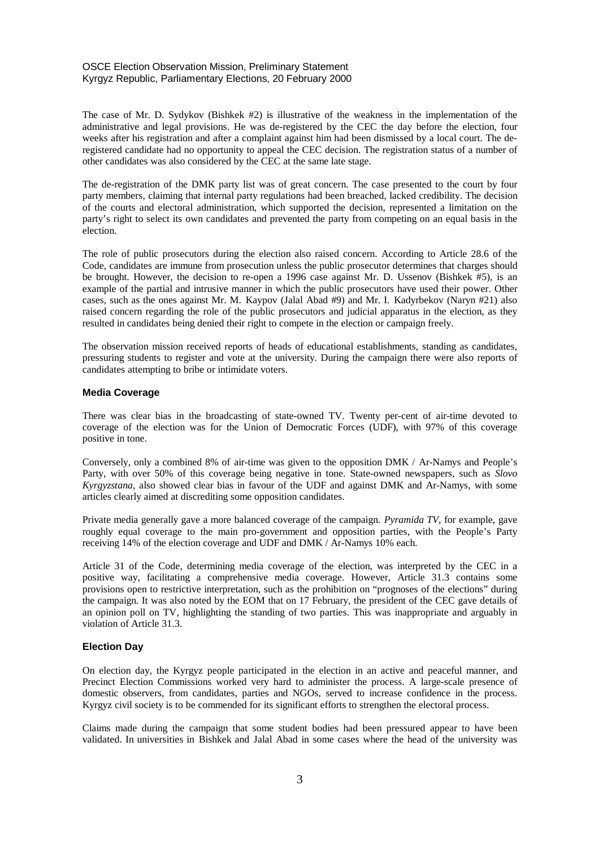#### OSCE Election Observation Mission, Preliminary Statement Kyrgyz Republic, Parliamentary Elections, 20 February 2000

The case of Mr. D. Sydykov (Bishkek #2) is illustrative of the weakness in the implementation of the administrative and legal provisions. He was de-registered by the CEC the day before the election, four weeks after his registration and after a complaint against him had been dismissed by a local court. The deregistered candidate had no opportunity to appeal the CEC decision. The registration status of a number of other candidates was also considered by the CEC at the same late stage.

The de-registration of the DMK party list was of great concern. The case presented to the court by four party members, claiming that internal party regulations had been breached, lacked credibility. The decision of the courts and electoral administration, which supported the decision, represented a limitation on the party's right to select its own candidates and prevented the party from competing on an equal basis in the election.

The role of public prosecutors during the election also raised concern. According to Article 28.6 of the Code, candidates are immune from prosecution unless the public prosecutor determines that charges should be brought. However, the decision to re-open a 1996 case against Mr. D. Ussenov (Bishkek #5), is an example of the partial and intrusive manner in which the public prosecutors have used their power. Other cases, such as the ones against Mr. M. Kaypov (Jalal Abad #9) and Mr. I. Kadyrbekov (Naryn #21) also raised concern regarding the role of the public prosecutors and judicial apparatus in the election, as they resulted in candidates being denied their right to compete in the election or campaign freely.

The observation mission received reports of heads of educational establishments, standing as candidates, pressuring students to register and vote at the university. During the campaign there were also reports of candidates attempting to bribe or intimidate voters.

#### **Media Coverage**

There was clear bias in the broadcasting of state-owned TV. Twenty per-cent of air-time devoted to coverage of the election was for the Union of Democratic Forces (UDF), with 97% of this coverage positive in tone.

Conversely, only a combined 8% of air-time was given to the opposition DMK / Ar-Namys and People's Party, with over 50% of this coverage being negative in tone. State-owned newspapers, such as *Slovo Kyrgyzstana*, also showed clear bias in favour of the UDF and against DMK and Ar-Namys, with some articles clearly aimed at discrediting some opposition candidates.

Private media generally gave a more balanced coverage of the campaign. *Pyramida TV*, for example, gave roughly equal coverage to the main pro-government and opposition parties, with the People's Party receiving 14% of the election coverage and UDF and DMK / Ar-Namys 10% each.

Article 31 of the Code, determining media coverage of the election, was interpreted by the CEC in a positive way, facilitating a comprehensive media coverage. However, Article 31.3 contains some provisions open to restrictive interpretation, such as the prohibition on "prognoses of the elections" during the campaign. It was also noted by the EOM that on 17 February, the president of the CEC gave details of an opinion poll on TV, highlighting the standing of two parties. This was inappropriate and arguably in violation of Article 31.3.

#### **Election Day**

On election day, the Kyrgyz people participated in the election in an active and peaceful manner, and Precinct Election Commissions worked very hard to administer the process. A large-scale presence of domestic observers, from candidates, parties and NGOs, served to increase confidence in the process. Kyrgyz civil society is to be commended for its significant efforts to strengthen the electoral process.

Claims made during the campaign that some student bodies had been pressured appear to have been validated. In universities in Bishkek and Jalal Abad in some cases where the head of the university was